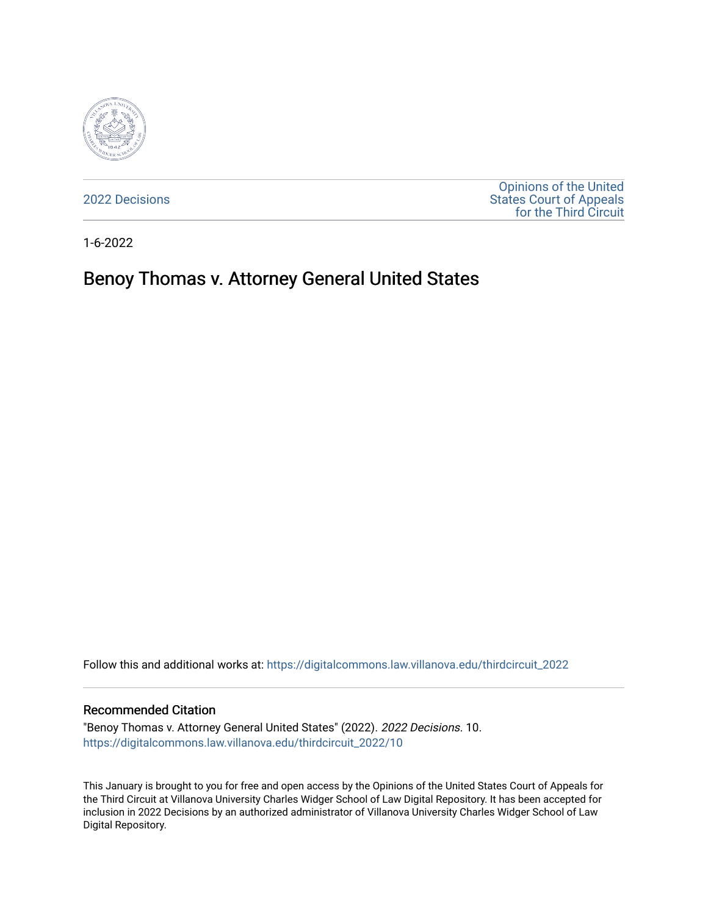

[2022 Decisions](https://digitalcommons.law.villanova.edu/thirdcircuit_2022)

[Opinions of the United](https://digitalcommons.law.villanova.edu/thirdcircuit)  [States Court of Appeals](https://digitalcommons.law.villanova.edu/thirdcircuit)  [for the Third Circuit](https://digitalcommons.law.villanova.edu/thirdcircuit) 

1-6-2022

# Benoy Thomas v. Attorney General United States

Follow this and additional works at: [https://digitalcommons.law.villanova.edu/thirdcircuit\\_2022](https://digitalcommons.law.villanova.edu/thirdcircuit_2022?utm_source=digitalcommons.law.villanova.edu%2Fthirdcircuit_2022%2F10&utm_medium=PDF&utm_campaign=PDFCoverPages) 

#### Recommended Citation

"Benoy Thomas v. Attorney General United States" (2022). 2022 Decisions. 10. [https://digitalcommons.law.villanova.edu/thirdcircuit\\_2022/10](https://digitalcommons.law.villanova.edu/thirdcircuit_2022/10?utm_source=digitalcommons.law.villanova.edu%2Fthirdcircuit_2022%2F10&utm_medium=PDF&utm_campaign=PDFCoverPages)

This January is brought to you for free and open access by the Opinions of the United States Court of Appeals for the Third Circuit at Villanova University Charles Widger School of Law Digital Repository. It has been accepted for inclusion in 2022 Decisions by an authorized administrator of Villanova University Charles Widger School of Law Digital Repository.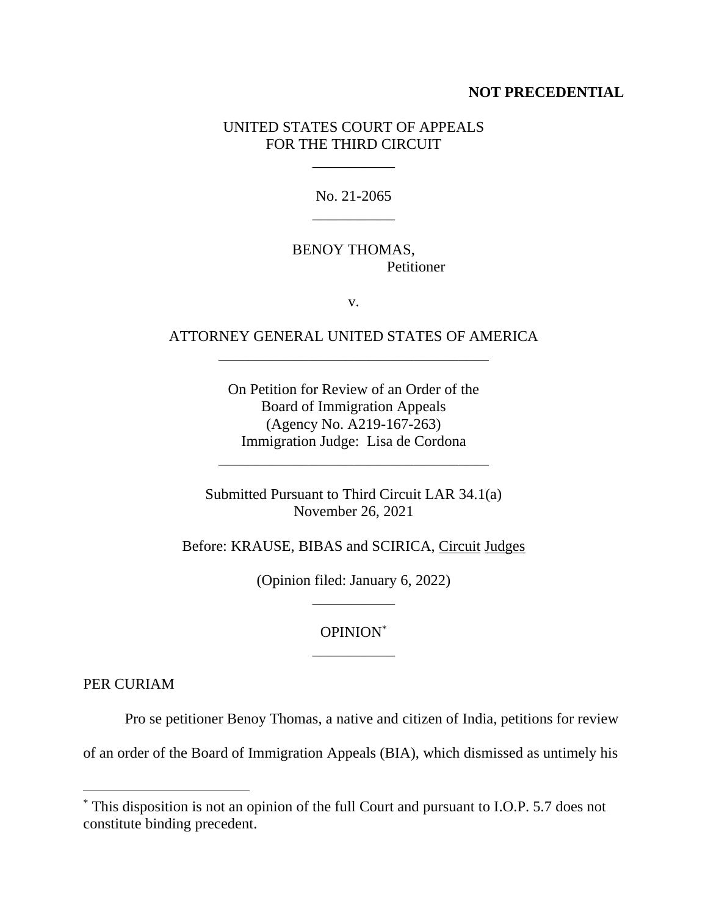#### **NOT PRECEDENTIAL**

### UNITED STATES COURT OF APPEALS FOR THE THIRD CIRCUIT

\_\_\_\_\_\_\_\_\_\_\_

No. 21-2065 \_\_\_\_\_\_\_\_\_\_\_

# BENOY THOMAS, Petitioner

v.

# ATTORNEY GENERAL UNITED STATES OF AMERICA \_\_\_\_\_\_\_\_\_\_\_\_\_\_\_\_\_\_\_\_\_\_\_\_\_\_\_\_\_\_\_\_\_\_\_\_

On Petition for Review of an Order of the Board of Immigration Appeals (Agency No. A219-167-263) Immigration Judge: Lisa de Cordona

Submitted Pursuant to Third Circuit LAR 34.1(a) November 26, 2021

\_\_\_\_\_\_\_\_\_\_\_\_\_\_\_\_\_\_\_\_\_\_\_\_\_\_\_\_\_\_\_\_\_\_\_\_

Before: KRAUSE, BIBAS and SCIRICA, Circuit Judges

(Opinion filed: January 6, 2022) \_\_\_\_\_\_\_\_\_\_\_

### OPINION\* \_\_\_\_\_\_\_\_\_\_\_

PER CURIAM

Pro se petitioner Benoy Thomas, a native and citizen of India, petitions for review

of an order of the Board of Immigration Appeals (BIA), which dismissed as untimely his

<sup>\*</sup> This disposition is not an opinion of the full Court and pursuant to I.O.P. 5.7 does not constitute binding precedent.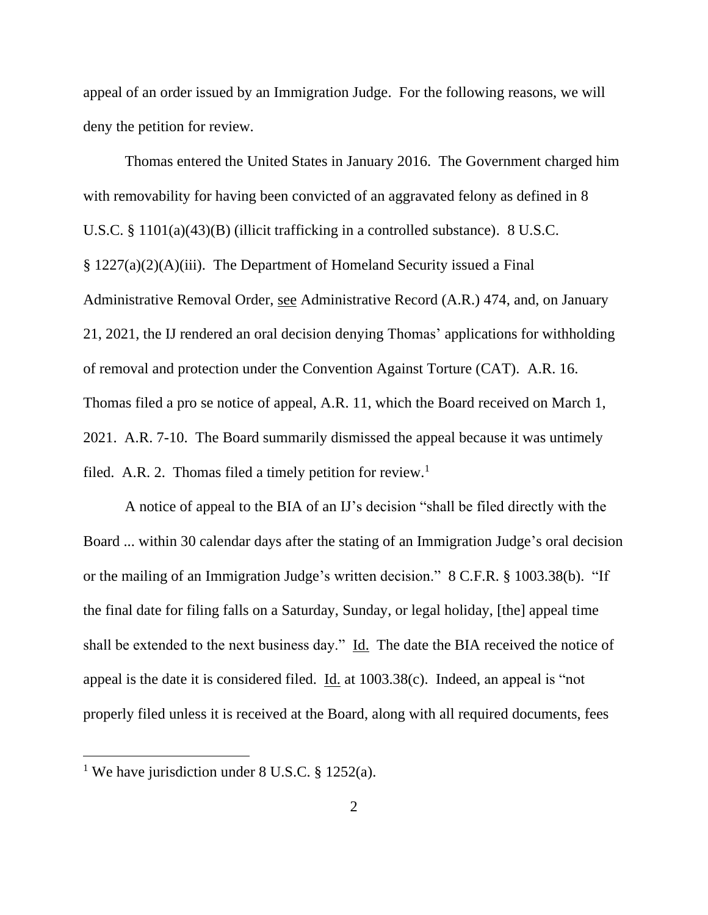appeal of an order issued by an Immigration Judge. For the following reasons, we will deny the petition for review.

Thomas entered the United States in January 2016. The Government charged him with removability for having been convicted of an aggravated felony as defined in 8 U.S.C. § 1101(a)(43)(B) (illicit trafficking in a controlled substance). 8 U.S.C. § 1227(a)(2)(A)(iii). The Department of Homeland Security issued a Final Administrative Removal Order, see Administrative Record (A.R.) 474, and, on January 21, 2021, the IJ rendered an oral decision denying Thomas' applications for withholding of removal and protection under the Convention Against Torture (CAT). A.R. 16. Thomas filed a pro se notice of appeal, A.R. 11, which the Board received on March 1, 2021. A.R. 7-10. The Board summarily dismissed the appeal because it was untimely filed. A.R. 2. Thomas filed a timely petition for review.<sup>1</sup>

A notice of appeal to the BIA of an IJ's decision "shall be filed directly with the Board ... within 30 calendar days after the stating of an Immigration Judge's oral decision or the mailing of an Immigration Judge's written decision." 8 C.F.R. § 1003.38(b). "If the final date for filing falls on a Saturday, Sunday, or legal holiday, [the] appeal time shall be extended to the next business day." Id. The date the BIA received the notice of appeal is the date it is considered filed. <u>Id.</u> at  $1003.38(c)$ . Indeed, an appeal is "not properly filed unless it is received at the Board, along with all required documents, fees

<sup>&</sup>lt;sup>1</sup> We have jurisdiction under 8 U.S.C. § 1252(a).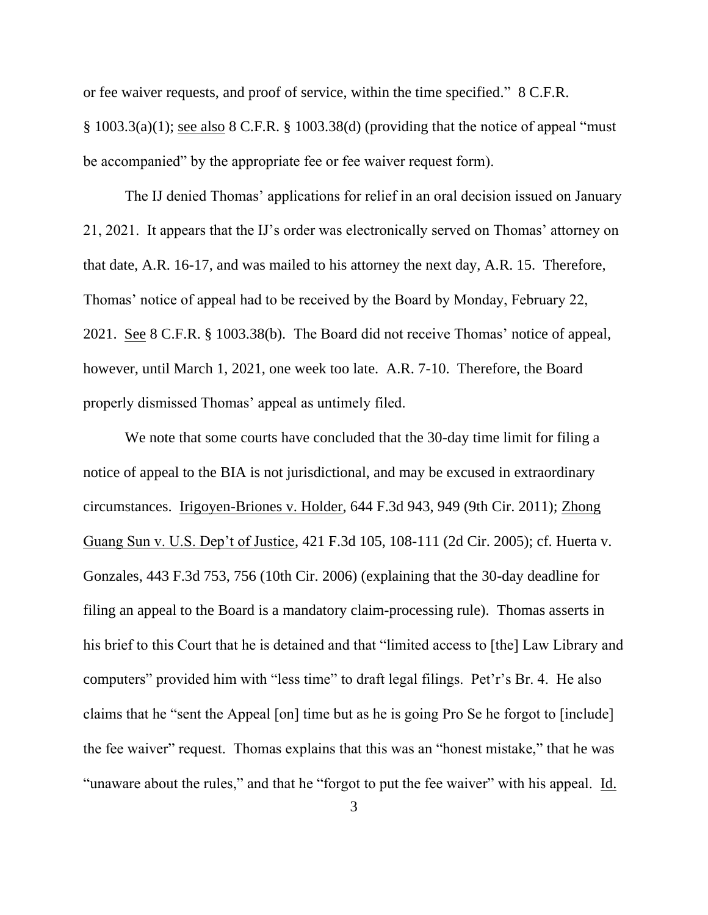or fee waiver requests, and proof of service, within the time specified." 8 C.F.R. § 1003.3(a)(1); see also 8 C.F.R. § 1003.38(d) (providing that the notice of appeal "must be accompanied" by the appropriate fee or fee waiver request form).

The IJ denied Thomas' applications for relief in an oral decision issued on January 21, 2021. It appears that the IJ's order was electronically served on Thomas' attorney on that date, A.R. 16-17, and was mailed to his attorney the next day, A.R. 15. Therefore, Thomas' notice of appeal had to be received by the Board by Monday, February 22, 2021. See 8 C.F.R. § 1003.38(b). The Board did not receive Thomas' notice of appeal, however, until March 1, 2021, one week too late. A.R. 7-10. Therefore, the Board properly dismissed Thomas' appeal as untimely filed.

We note that some courts have concluded that the 30-day time limit for filing a notice of appeal to the BIA is not jurisdictional, and may be excused in extraordinary circumstances. Irigoyen-Briones v. Holder, 644 F.3d 943, 949 (9th Cir. 2011); Zhong Guang Sun v. U.S. Dep't of Justice, 421 F.3d 105, 108-111 (2d Cir. 2005); cf. Huerta v. Gonzales, 443 F.3d 753, 756 (10th Cir. 2006) (explaining that the 30-day deadline for filing an appeal to the Board is a mandatory claim-processing rule). Thomas asserts in his brief to this Court that he is detained and that "limited access to [the] Law Library and computers" provided him with "less time" to draft legal filings. Pet'r's Br. 4. He also claims that he "sent the Appeal [on] time but as he is going Pro Se he forgot to [include] the fee waiver" request. Thomas explains that this was an "honest mistake," that he was "unaware about the rules," and that he "forgot to put the fee waiver" with his appeal. Id.